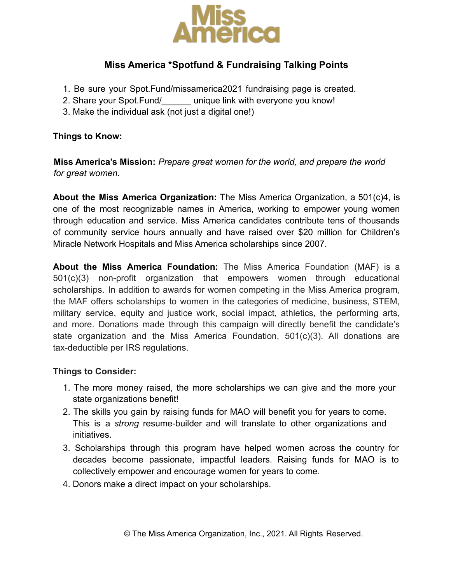

# **Miss America \*Spotfund & Fundraising Talking Points**

- 1. Be sure your Spot.Fund/missamerica2021 fundraising page is created.
- 2. Share your Spot.Fund/ unique link with everyone you know!
- 3. Make the individual ask (not just a digital one!)

### **Things to Know:**

**Miss America's Mission:** *Prepare great women for the world, and prepare the world for great women.*

**About the Miss America Organization:** The Miss America Organization, a 501(c)4, is one of the most recognizable names in America, working to empower young women through education and service. Miss America candidates contribute tens of thousands of community service hours annually and have raised over \$20 million for Children's Miracle Network Hospitals and Miss America scholarships since 2007.

**About the Miss America Foundation:** The Miss America Foundation (MAF) is a 501(c)(3) non-profit organization that empowers women through educational scholarships. In addition to awards for women competing in the Miss America program, the MAF offers scholarships to women in the categories of medicine, business, STEM, military service, equity and justice work, social impact, athletics, the performing arts, and more. Donations made through this campaign will directly benefit the candidate's state organization and the Miss America Foundation, 501(c)(3). All donations are tax-deductible per IRS regulations.

### **Things to Consider:**

- 1. The more money raised, the more scholarships we can give and the more your state organizations benefit!
- 2. The skills you gain by raising funds for MAO will benefit you for years to come. This is a *strong* resume-builder and will translate to other organizations and initiatives.
- 3. Scholarships through this program have helped women across the country for decades become passionate, impactful leaders. Raising funds for MAO is to collectively empower and encourage women for years to come.
- 4. Donors make a direct impact on your scholarships.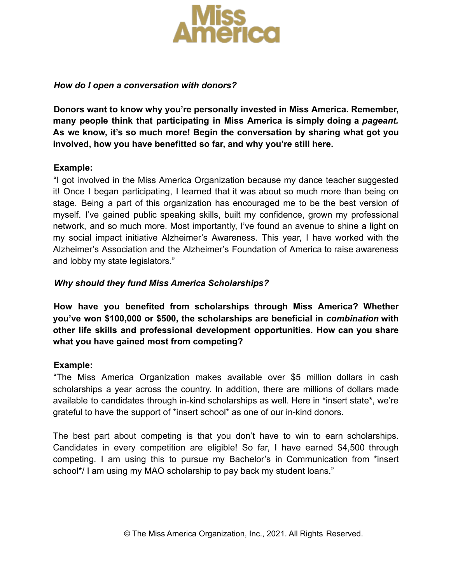

### *How do I open a conversation with donors?*

**Donors want to know why you're personally invested in Miss America. Remember, many people think that participating in Miss America is simply doing a** *pageant.* **As we know, it's so much more! Begin the conversation by sharing what got you involved, how you have benefitted so far, and why you're still here.**

### **Example:**

"I got involved in the Miss America Organization because my dance teacher suggested it! Once I began participating, I learned that it was about so much more than being on stage. Being a part of this organization has encouraged me to be the best version of myself. I've gained public speaking skills, built my confidence, grown my professional network, and so much more. Most importantly, I've found an avenue to shine a light on my social impact initiative Alzheimer's Awareness. This year, I have worked with the Alzheimer's Association and the Alzheimer's Foundation of America to raise awareness and lobby my state legislators."

# *Why should they fund Miss America Scholarships?*

**How have you benefited from scholarships through Miss America? Whether you've won \$100,000 or \$500, the scholarships are beneficial in** *combination* **with other life skills and professional development opportunities. How can you share what you have gained most from competing?**

### **Example:**

"The Miss America Organization makes available over \$5 million dollars in cash scholarships a year across the country. In addition, there are millions of dollars made available to candidates through in-kind scholarships as well. Here in \*insert state\*, we're grateful to have the support of \*insert school\* as one of our in-kind donors.

The best part about competing is that you don't have to win to earn scholarships. Candidates in every competition are eligible! So far, I have earned \$4,500 through competing. I am using this to pursue my Bachelor's in Communication from \*insert school<sup>\*</sup>/ I am using my MAO scholarship to pay back my student loans."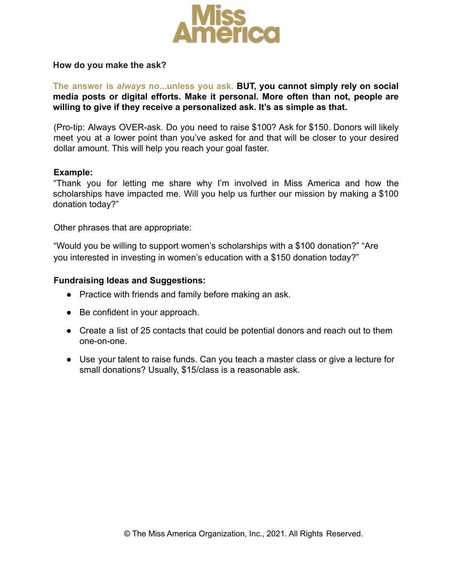

#### **How do you make the ask?**

## **The answer is** *always* **no...unless you ask. BUT, you cannot simply rely on social media posts or digital efforts. Make it personal. More often than not, people are willing to give if they receive a personalized ask. It's as simple as that.**

(Pro-tip: Always OVER-ask. Do you need to raise \$100? Ask for \$150. Donors will likely meet you at a lower point than you've asked for and that will be closer to your desired dollar amount. This will help you reach your goal faster.

#### **Example:**

"Thank you for letting me share why I'm involved in Miss America and how the scholarships have impacted me. Will you help us further our mission by making a \$100 donation today?"

Other phrases that are appropriate:

"Would you be willing to support women's scholarships with a \$100 donation?" "Are you interested in investing in women's education with a \$150 donation today?"

#### **Fundraising Ideas and Suggestions:**

- Practice with friends and family before making an ask.
- Be confident in your approach.
- Create a list of 25 contacts that could be potential donors and reach out to them one-on-one.
- Use your talent to raise funds. Can you teach a master class or give a lecture for small donations? Usually, \$15/class is a reasonable ask.